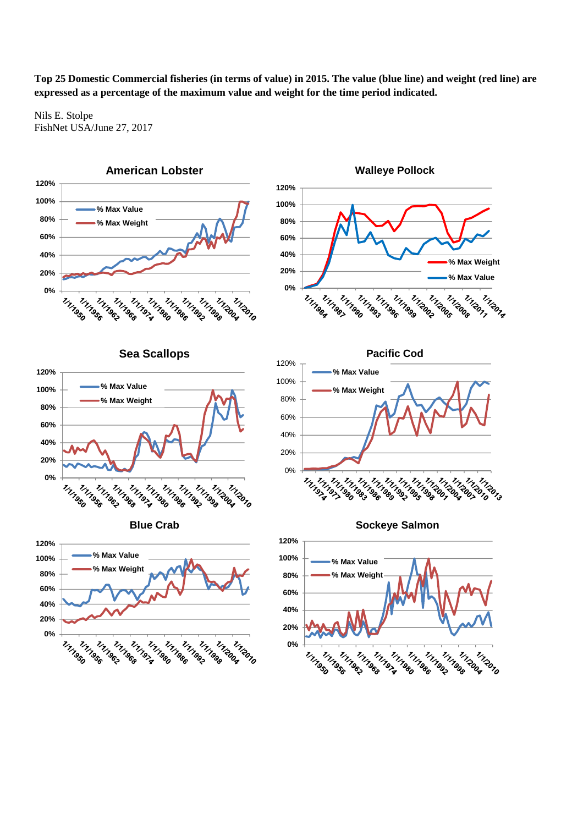**Top 25 Domestic Commercial fisheries (in terms of value) in 2015. The value (blue line) and weight (red line) are expressed as a percentage of the maximum value and weight for the time period indicated.** 

Nils E. Stolpe FishNet USA/June 27, 2017





**Sea Scallops**











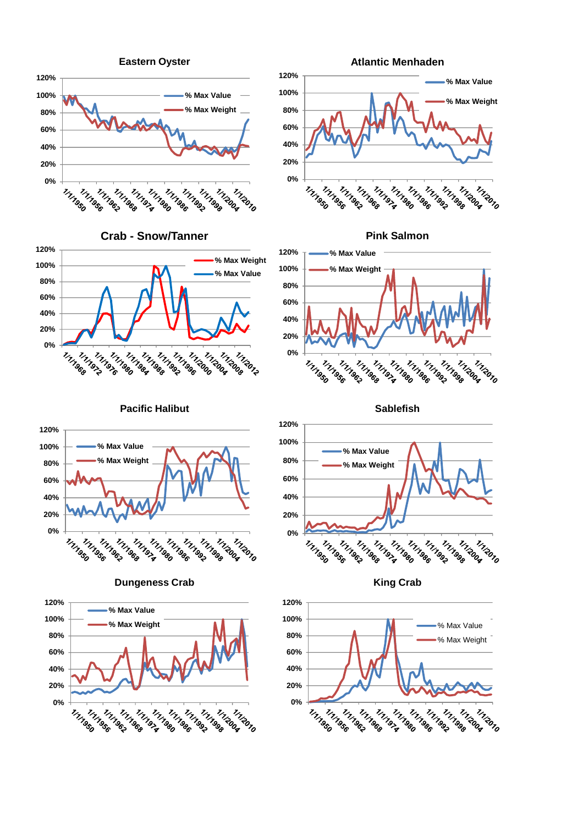

**Crab - Snow/Tanner**





**Pink Salmon**



**Sablefish**



**King Crab**









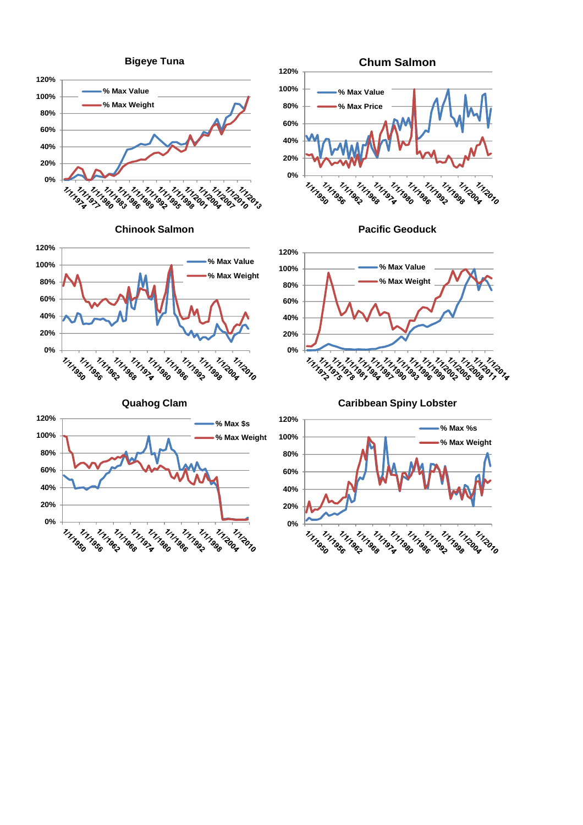





**Quahog Clam**









**Caribbean Spiny Lobster**